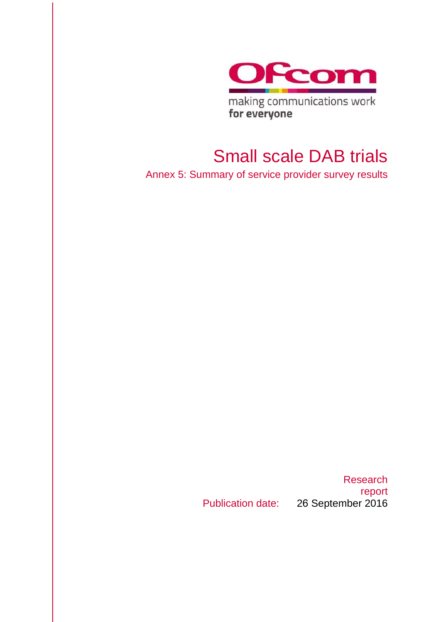

making communications work for everyone

## Small scale DAB trials

Annex 5: Summary of service provider survey results

Research report Publication date: 26 September 2016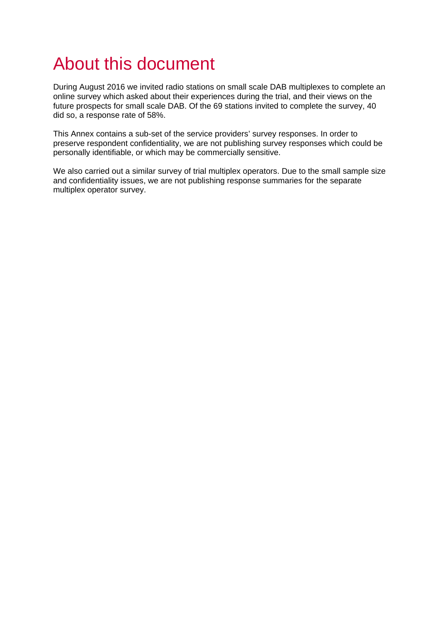# About this document

During August 2016 we invited radio stations on small scale DAB multiplexes to complete an online survey which asked about their experiences during the trial, and their views on the future prospects for small scale DAB. Of the 69 stations invited to complete the survey, 40 did so, a response rate of 58%.

This Annex contains a sub-set of the service providers' survey responses. In order to preserve respondent confidentiality, we are not publishing survey responses which could be personally identifiable, or which may be commercially sensitive.

We also carried out a similar survey of trial multiplex operators. Due to the small sample size and confidentiality issues, we are not publishing response summaries for the separate multiplex operator survey.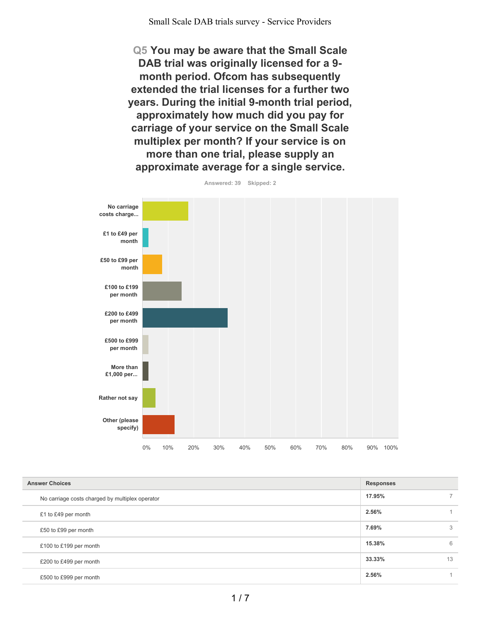Small Scale DAB trials survey - Service Providers

**Q5 You may be aware that the Small Scale DAB trial was originally licensed for a 9 month period. Ofcom has subsequently extended the trial licenses for a further two years. During the initial 9-month trial period, approximately how much did you pay for carriage of your service on the Small Scale multiplex per month? If your service is on more than one trial, please supply an approximate average for a single service.**



| Answered: 39 | Skipped: 2 |
|--------------|------------|

| <b>Answer Choices</b>                           | <b>Responses</b> |                |
|-------------------------------------------------|------------------|----------------|
| No carriage costs charged by multiplex operator | 17.95%           | $\overline{7}$ |
| £1 to £49 per month                             | 2.56%            |                |
| £50 to £99 per month                            | 7.69%            | 3              |
| £100 to £199 per month                          | 15.38%           | 6              |
| £200 to £499 per month                          | 33.33%           | 13             |
| £500 to £999 per month                          | 2.56%            |                |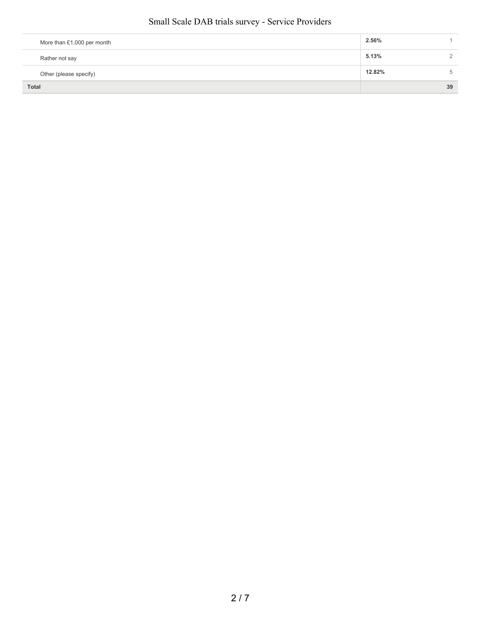#### Small Scale DAB trials survey - Service Providers

| More than £1,000 per month | 2.56%  |    |
|----------------------------|--------|----|
| Rather not say             | 5.13%  |    |
| Other (please specify)     | 12.82% | 5  |
| <b>Total</b>               |        | 39 |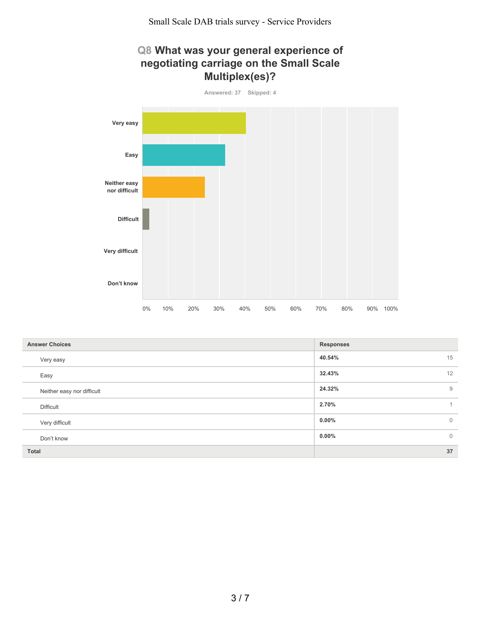### **Q8 What was your general experience of negotiating carriage on the Small Scale Multiplex(es)?**



| <b>Answer Choices</b>      | <b>Responses</b>           |
|----------------------------|----------------------------|
| Very easy                  | 15<br>40.54%               |
| Easy                       | 12<br>32.43%               |
| Neither easy nor difficult | 9<br>24.32%                |
| <b>Difficult</b>           | 2.70%                      |
| Very difficult             | $0.00\%$<br>$\overline{0}$ |
| Don't know                 | $\overline{0}$<br>$0.00\%$ |
| <b>Total</b>               | 37                         |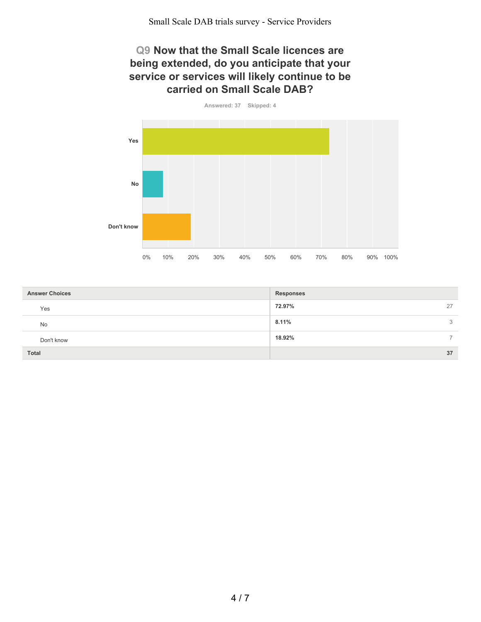#### **Q9 Now that the Small Scale licences are being extended, do you anticipate that your service or services will likely continue to be carried on Small Scale DAB?**



| <b>Answer Choices</b> | <b>Responses</b> |
|-----------------------|------------------|
| Yes                   | 72.97%<br>27     |
| No                    | 8.11%<br>3       |
| Don't know            | 18.92%           |
| <b>Total</b>          | 37               |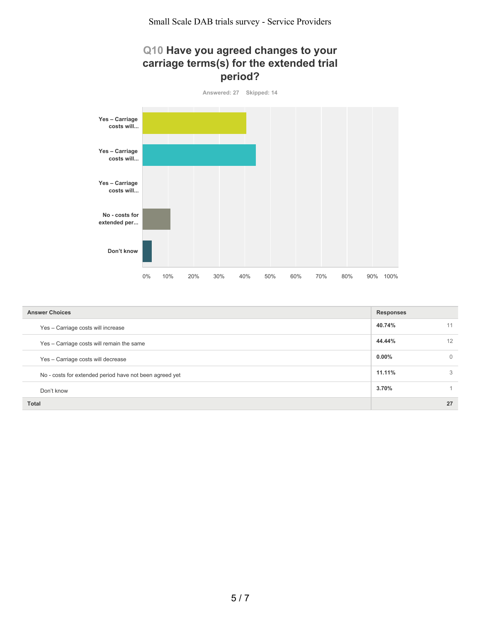#### **Q10 Have you agreed changes to your carriage terms(s) for the extended trial period?**



| <b>Answer Choices</b><br><b>Responses</b>               |          |          |
|---------------------------------------------------------|----------|----------|
| Yes - Carriage costs will increase                      | 40.74%   | 11       |
| Yes - Carriage costs will remain the same               | 44.44%   | 12       |
| Yes - Carriage costs will decrease                      | $0.00\%$ | $\Omega$ |
| No - costs for extended period have not been agreed yet | 11.11%   | 3        |
| Don't know                                              | 3.70%    |          |
| <b>Total</b>                                            |          | 27       |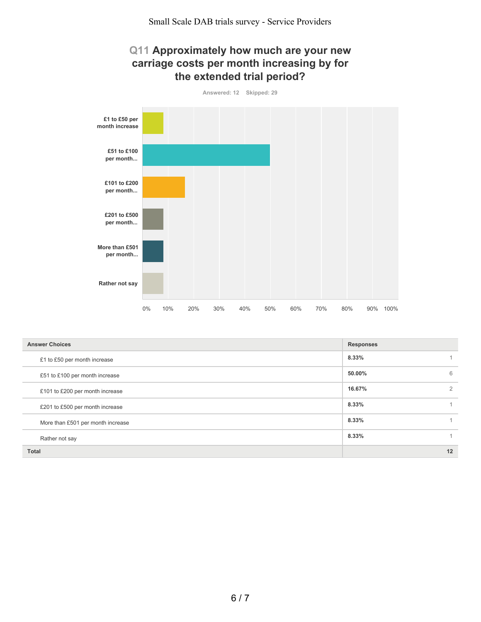#### **Q11 Approximately how much are your new carriage costs per month increasing by for the extended trial period?**



| <b>Answer Choices</b>             | <b>Responses</b> |    |
|-----------------------------------|------------------|----|
| £1 to £50 per month increase      | 8.33%            |    |
| £51 to £100 per month increase    | 50.00%           | 6  |
| £101 to £200 per month increase   | 16.67%           | 2  |
| £201 to £500 per month increase   | 8.33%            |    |
| More than £501 per month increase | 8.33%            |    |
| Rather not say                    | 8.33%            |    |
| <b>Total</b>                      |                  | 12 |